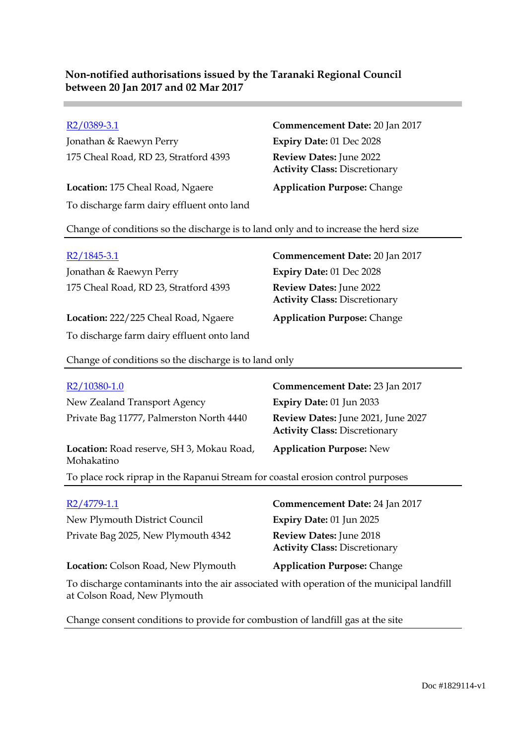Jonathan & Raewyn Perry **Expiry Date:** 01 Dec 2028 175 Cheal Road, RD 23, Stratford 4393 **Review Dates:** June 2022

**Location:** 175 Cheal Road, Ngaere **Application Purpose:** Change To discharge farm dairy effluent onto land

R2/0389-3.1 **Commencement Date:** 20 Jan 2017 **Activity Class:** Discretionary

Change of conditions so the discharge is to land only and to increase the herd size

| $R2/1845-3.1$                              | Commencement Date: 20 Jan 2017                                  |
|--------------------------------------------|-----------------------------------------------------------------|
| Jonathan & Raewyn Perry                    | Expiry Date: 01 Dec 2028                                        |
| 175 Cheal Road, RD 23, Stratford 4393      | Review Dates: June 2022<br><b>Activity Class: Discretionary</b> |
| Location: 222/225 Cheal Road, Ngaere       | <b>Application Purpose: Change</b>                              |
| To discharge farm dairy effluent onto land |                                                                 |

Change of conditions so the discharge is to land only

| R <sub>2</sub> /10380-1.0                                                       | Commencement Date: 23 Jan 2017                                             |  |
|---------------------------------------------------------------------------------|----------------------------------------------------------------------------|--|
| New Zealand Transport Agency                                                    | <b>Expiry Date: 01 Jun 2033</b>                                            |  |
| Private Bag 11777, Palmerston North 4440                                        | Review Dates: June 2021, June 2027<br><b>Activity Class: Discretionary</b> |  |
| Location: Road reserve, SH 3, Mokau Road,<br>Mohakatino                         | <b>Application Purpose: New</b>                                            |  |
| To place rock riprap in the Rapanui Stream for coastal erosion control purposes |                                                                            |  |
| R2/4779-1.1                                                                     | <b>Commencement Date: 24 Jan 2017</b>                                      |  |
| New Plymouth District Council                                                   | <b>Expiry Date: 01 Jun 2025</b>                                            |  |
|                                                                                 |                                                                            |  |
| Private Bag 2025, New Plymouth 4342                                             | <b>Review Dates: June 2018</b><br><b>Activity Class: Discretionary</b>     |  |

**Location:** Colson Road, New Plymouth **Application Purpose:** Change

To discharge contaminants into the air associated with operation of the municipal landfill at Colson Road, New Plymouth

Change consent conditions to provide for combustion of landfill gas at the site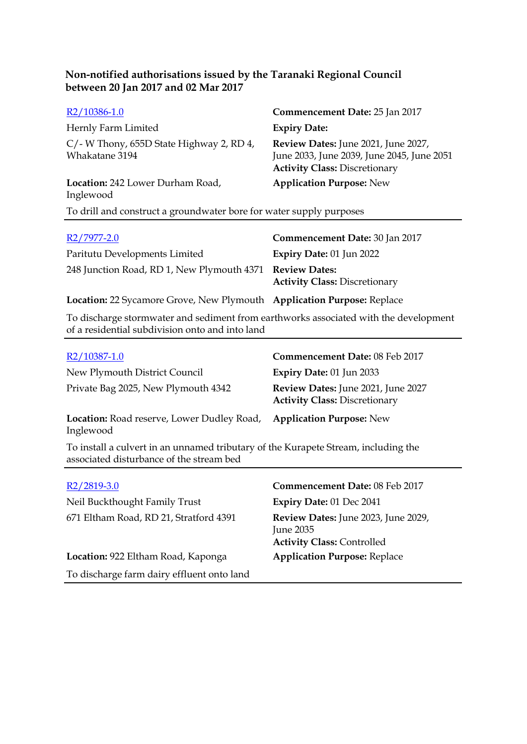| R <sub>2</sub> /10386-1.0                                     | Commencement Date: 25 Jan 2017                                                                                            |
|---------------------------------------------------------------|---------------------------------------------------------------------------------------------------------------------------|
| Hernly Farm Limited                                           | <b>Expiry Date:</b>                                                                                                       |
| $C$ /- W Thony, 655D State Highway 2, RD 4,<br>Whakatane 3194 | Review Dates: June 2021, June 2027,<br>June 2033, June 2039, June 2045, June 2051<br><b>Activity Class: Discretionary</b> |
| Location: 242 Lower Durham Road,<br>Inglewood                 | <b>Application Purpose: New</b>                                                                                           |

To drill and construct a groundwater bore for water supply purposes

| R2/7977-2.0                                                            | Commencement Date: 30 Jan 2017       |
|------------------------------------------------------------------------|--------------------------------------|
| Paritutu Developments Limited                                          | Expiry Date: $01$ Jun 2022           |
| 248 Junction Road, RD 1, New Plymouth 4371 Review Dates:               | <b>Activity Class: Discretionary</b> |
| Location: 22 Sycamore Grove, New Plymouth Application Purpose: Replace |                                      |

To discharge stormwater and sediment from earthworks associated with the development of a residential subdivision onto and into land

| R2/10387-1.0                                                                                                                   | Commencement Date: 08 Feb 2017                                             |
|--------------------------------------------------------------------------------------------------------------------------------|----------------------------------------------------------------------------|
| New Plymouth District Council                                                                                                  | <b>Expiry Date: 01 Jun 2033</b>                                            |
| Private Bag 2025, New Plymouth 4342                                                                                            | Review Dates: June 2021, June 2027<br><b>Activity Class: Discretionary</b> |
| Location: Road reserve, Lower Dudley Road,<br>Inglewood                                                                        | <b>Application Purpose: New</b>                                            |
| To install a culvert in an unnamed tributary of the Kurapete Stream, including the<br>associated disturbance of the stream bed |                                                                            |
|                                                                                                                                |                                                                            |

| $R2/2819-3.0$                              | Commencement Date: 08 Feb 2017                                                        |
|--------------------------------------------|---------------------------------------------------------------------------------------|
| Neil Buckthought Family Trust              | Expiry Date: 01 Dec 2041                                                              |
| 671 Eltham Road, RD 21, Stratford 4391     | Review Dates: June 2023, June 2029,<br>June 2035<br><b>Activity Class: Controlled</b> |
| Location: 922 Eltham Road, Kaponga         | <b>Application Purpose: Replace</b>                                                   |
| To discharge farm dairy effluent onto land |                                                                                       |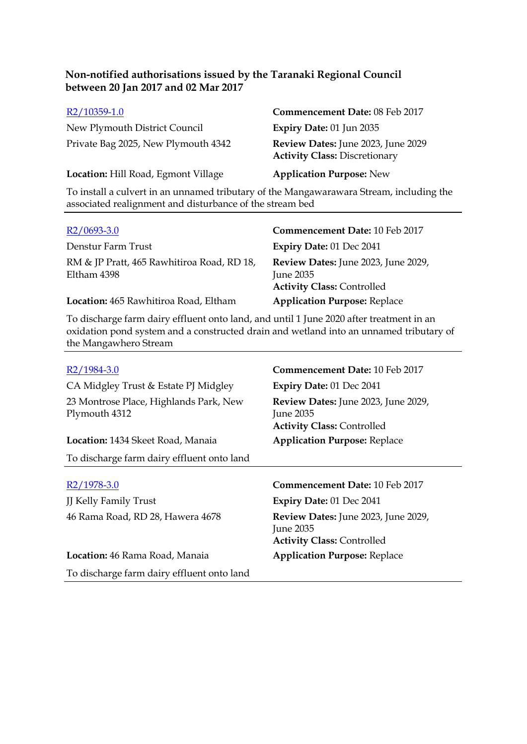| R2/10359-1.0                                                                            | Commencement Date: 08 Feb 2017                                             |
|-----------------------------------------------------------------------------------------|----------------------------------------------------------------------------|
| New Plymouth District Council                                                           | Expiry Date: 01 Jun 2035                                                   |
| Private Bag 2025, New Plymouth 4342                                                     | Review Dates: June 2023, June 2029<br><b>Activity Class: Discretionary</b> |
| Location: Hill Road, Egmont Village                                                     | <b>Application Purpose: New</b>                                            |
| To install a culvert in an unnamed tributary of the Mangawarawara Stream, including the |                                                                            |

associated realignment and disturbance of the stream bed

| $R2/0693-3.0$                                             | Commencement Date: 10 Feb 2017                                                               |
|-----------------------------------------------------------|----------------------------------------------------------------------------------------------|
| Denstur Farm Trust                                        | <b>Expiry Date: 01 Dec 2041</b>                                                              |
| RM & JP Pratt, 465 Rawhitiroa Road, RD 18,<br>Eltham 4398 | <b>Review Dates:</b> June 2023, June 2029,<br>June 2035<br><b>Activity Class: Controlled</b> |
| Location: 465 Rawhitiroa Road, Eltham                     | <b>Application Purpose: Replace</b>                                                          |

To discharge farm dairy effluent onto land, and until 1 June 2020 after treatment in an oxidation pond system and a constructed drain and wetland into an unnamed tributary of the Mangawhero Stream

| R2/1984-3.0                                             | <b>Commencement Date: 10 Feb 2017</b>                                                 |
|---------------------------------------------------------|---------------------------------------------------------------------------------------|
| CA Midgley Trust & Estate PJ Midgley                    | Expiry Date: 01 Dec 2041                                                              |
| 23 Montrose Place, Highlands Park, New<br>Plymouth 4312 | Review Dates: June 2023, June 2029,<br>June 2035<br><b>Activity Class: Controlled</b> |
| <b>Location:</b> 1434 Skeet Road, Manaia                | <b>Application Purpose: Replace</b>                                                   |
| To discharge farm dairy effluent onto land              |                                                                                       |
|                                                         |                                                                                       |
| R2/1978-3.0                                             | Commencement Date: 10 Feb 2017                                                        |
| <b>JJ Kelly Family Trust</b>                            | Expiry Date: 01 Dec 2041                                                              |
| 46 Rama Road, RD 28, Hawera 4678                        | Review Dates: June 2023, June 2029,<br>June 2035<br><b>Activity Class: Controlled</b> |
| Location: 46 Rama Road, Manaia                          | <b>Application Purpose: Replace</b>                                                   |
| To discharge farm dairy effluent onto land              |                                                                                       |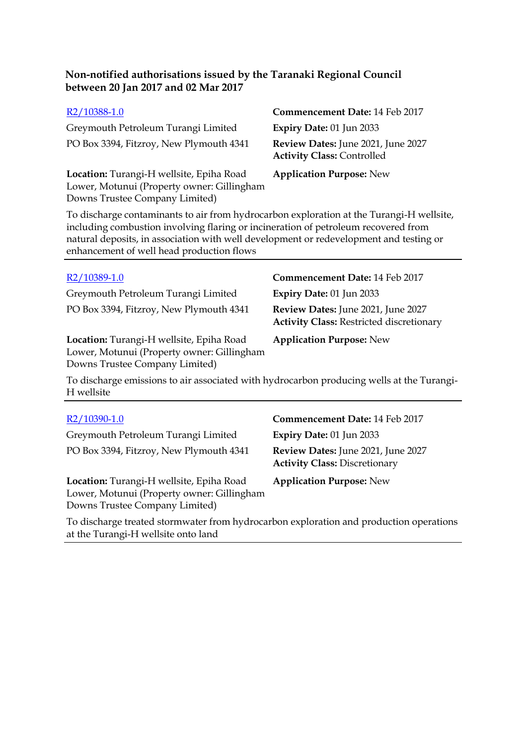| R2/10388-1.0                                                                                                             | Commencement Date: 14 Feb 2017                                          |
|--------------------------------------------------------------------------------------------------------------------------|-------------------------------------------------------------------------|
| Greymouth Petroleum Turangi Limited                                                                                      | <b>Expiry Date: 01 Jun 2033</b>                                         |
| PO Box 3394, Fitzroy, New Plymouth 4341                                                                                  | Review Dates: June 2021, June 2027<br><b>Activity Class: Controlled</b> |
| Location: Turangi-H wellsite, Epiha Road<br>Lower, Motunui (Property owner: Gillingham<br>Downs Trustee Company Limited) | <b>Application Purpose: New</b>                                         |

To discharge contaminants to air from hydrocarbon exploration at the Turangi-H wellsite, including combustion involving flaring or incineration of petroleum recovered from natural deposits, in association with well development or redevelopment and testing or enhancement of well head production flows

Greymouth Petroleum Turangi Limited **Expiry Date:** 01 Jun 2033 PO Box 3394, Fitzroy, New Plymouth 4341 **Review Dates:** June 2021, June 2027

**Location:** Turangi-H wellsite, Epiha Road Lower, Motunui (Property owner: Gillingham Downs Trustee Company Limited)

### R2/10389-1.0 **Commencement Date:** 14 Feb 2017

**Activity Class:** Restricted discretionary

**Application Purpose:** New

To discharge emissions to air associated with hydrocarbon producing wells at the Turangi-H wellsite

| R <sub>2</sub> /10390-1.0                                                                                                | Commencement Date: 14 Feb 2017                                             |
|--------------------------------------------------------------------------------------------------------------------------|----------------------------------------------------------------------------|
| Greymouth Petroleum Turangi Limited                                                                                      | Expiry Date: 01 Jun 2033                                                   |
| PO Box 3394, Fitzroy, New Plymouth 4341                                                                                  | Review Dates: June 2021, June 2027<br><b>Activity Class: Discretionary</b> |
| Location: Turangi-H wellsite, Epiha Road<br>Lower, Motunui (Property owner: Gillingham<br>Downs Trustee Company Limited) | <b>Application Purpose: New</b>                                            |
| To discharge treated stormwater from hydrocarbon exploration and production operations                                   |                                                                            |

at the Turangi-H wellsite onto land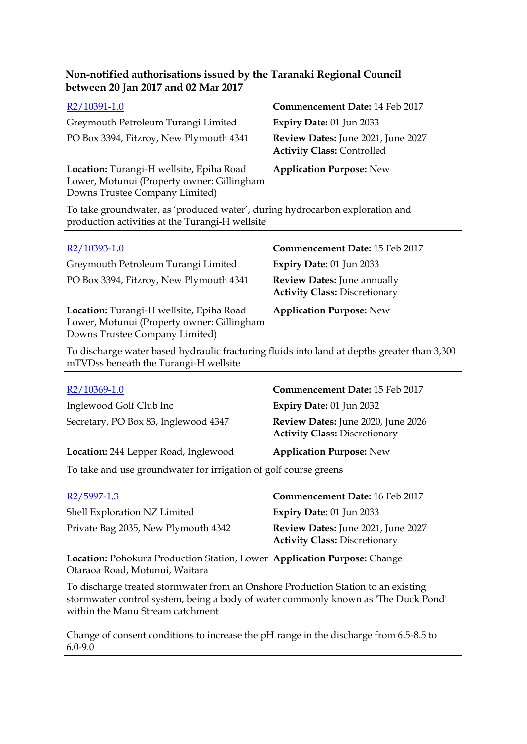| R2/10391-1.0                                                                                                                    | Commencement Date: 14 Feb 2017                                          |
|---------------------------------------------------------------------------------------------------------------------------------|-------------------------------------------------------------------------|
| Greymouth Petroleum Turangi Limited                                                                                             | Expiry Date: 01 Jun 2033                                                |
| PO Box 3394, Fitzroy, New Plymouth 4341                                                                                         | Review Dates: June 2021, June 2027<br><b>Activity Class: Controlled</b> |
| Location: Turangi-H wellsite, Epiha Road<br>Lower, Motunui (Property owner: Gillingham<br>Downs Trustee Company Limited)        | <b>Application Purpose: New</b>                                         |
| To take groundwater, as 'produced water', during hydrocarbon exploration and<br>production activities at the Turangi-H wellsite |                                                                         |
| $R2/10393-10$                                                                                                                   | Commencement Date: 15 Feb 2017                                          |

| R2/10393-1.0                                                                                                             | Commencement Date: 15 Feb 2017                                             |
|--------------------------------------------------------------------------------------------------------------------------|----------------------------------------------------------------------------|
| Greymouth Petroleum Turangi Limited                                                                                      | Expiry Date: 01 Jun 2033                                                   |
| PO Box 3394, Fitzroy, New Plymouth 4341                                                                                  | <b>Review Dates:</b> June annually<br><b>Activity Class: Discretionary</b> |
| Location: Turangi-H wellsite, Epiha Road<br>Lower, Motunui (Property owner: Gillingham<br>Downs Trustee Company Limited) | <b>Application Purpose: New</b>                                            |

To discharge water based hydraulic fracturing fluids into land at depths greater than 3,300 mTVDss beneath the Turangi-H wellsite

| R2/10369-1.0                                                     | <b>Commencement Date: 15 Feb 2017</b>                                      |
|------------------------------------------------------------------|----------------------------------------------------------------------------|
| Inglewood Golf Club Inc                                          | Expiry Date: 01 Jun 2032                                                   |
| Secretary, PO Box 83, Inglewood 4347                             | Review Dates: June 2020, June 2026<br><b>Activity Class: Discretionary</b> |
| Location: 244 Lepper Road, Inglewood                             | <b>Application Purpose: New</b>                                            |
| To take and use groundwater for irrigation of golf course greens |                                                                            |
|                                                                  |                                                                            |

| R <sub>2</sub> /5997-1.3            | Commencement Date: 16 Feb 2017                                             |
|-------------------------------------|----------------------------------------------------------------------------|
| Shell Exploration NZ Limited        | <b>Expiry Date: 01 Jun 2033</b>                                            |
| Private Bag 2035, New Plymouth 4342 | Review Dates: June 2021, June 2027<br><b>Activity Class: Discretionary</b> |

**Location:** Pohokura Production Station, Lower **Application Purpose:** Change Otaraoa Road, Motunui, Waitara

To discharge treated stormwater from an Onshore Production Station to an existing stormwater control system, being a body of water commonly known as 'The Duck Pond' within the Manu Stream catchment

Change of consent conditions to increase the pH range in the discharge from 6.5-8.5 to 6.0-9.0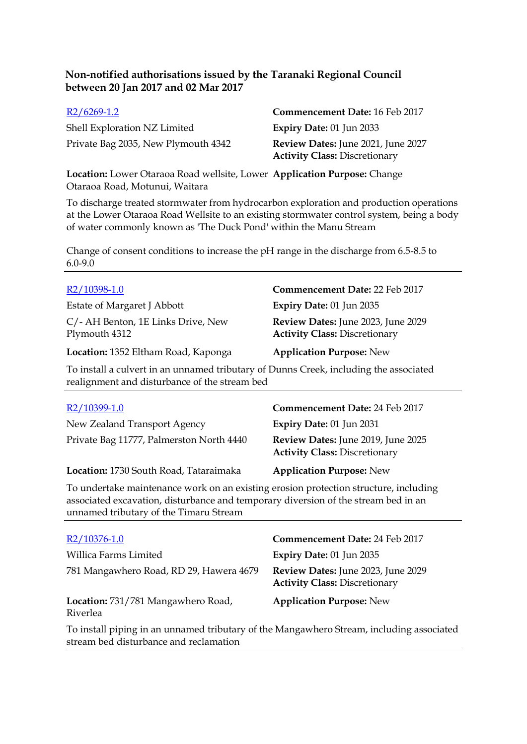| $R2/6269-1.2$                       | Commencement Date: 16 Feb 2017            |
|-------------------------------------|-------------------------------------------|
| Shell Exploration NZ Limited        | Expiry Date: $01$ Jun 2033                |
| Private Bag 2035, New Plymouth 4342 | <b>Review Dates:</b> June 2021, June 2027 |
|                                     | <b>Activity Class: Discretionary</b>      |

**Location:** Lower Otaraoa Road wellsite, Lower **Application Purpose:** Change Otaraoa Road, Motunui, Waitara

To discharge treated stormwater from hydrocarbon exploration and production operations at the Lower Otaraoa Road Wellsite to an existing stormwater control system, being a body of water commonly known as 'The Duck Pond' within the Manu Stream

Change of consent conditions to increase the pH range in the discharge from 6.5-8.5 to 6.0-9.0

| R2/10398-1.0                                        | Commencement Date: 22 Feb 2017                                             |
|-----------------------------------------------------|----------------------------------------------------------------------------|
| Estate of Margaret J Abbott                         | Expiry Date: 01 Jun 2035                                                   |
| C/- AH Benton, 1E Links Drive, New<br>Plymouth 4312 | Review Dates: June 2023, June 2029<br><b>Activity Class: Discretionary</b> |
| Location: 1352 Eltham Road, Kaponga                 | <b>Application Purpose: New</b>                                            |

To install a culvert in an unnamed tributary of Dunns Creek, including the associated realignment and disturbance of the stream bed

| R2/10399-1.0                                                                         | Commencement Date: 24 Feb 2017                                             |
|--------------------------------------------------------------------------------------|----------------------------------------------------------------------------|
| New Zealand Transport Agency                                                         | Expiry Date: 01 Jun 2031                                                   |
| Private Bag 11777, Palmerston North 4440                                             | Review Dates: June 2019, June 2025<br><b>Activity Class: Discretionary</b> |
| Location: 1730 South Road, Tataraimaka                                               | <b>Application Purpose: New</b>                                            |
| To undertake maintenance work on an existing erosion protection structure, including |                                                                            |

associated excavation, disturbance and temporary diversion of the stream bed in an unnamed tributary of the Timaru Stream

| $R2/10376-1.0$                                                                           | <b>Commencement Date: 24 Feb 2017</b>                                      |
|------------------------------------------------------------------------------------------|----------------------------------------------------------------------------|
| Willica Farms Limited                                                                    | Expiry Date: 01 Jun 2035                                                   |
| 781 Mangawhero Road, RD 29, Hawera 4679                                                  | Review Dates: June 2023, June 2029<br><b>Activity Class: Discretionary</b> |
| Location: 731/781 Mangawhero Road,<br>Riverlea                                           | <b>Application Purpose: New</b>                                            |
| To install piping in an unnamed tributary of the Mangawhero Stream, including associated |                                                                            |

To install piping in an unnamed tributary of the Mangawhero Stream, including associated stream bed disturbance and reclamation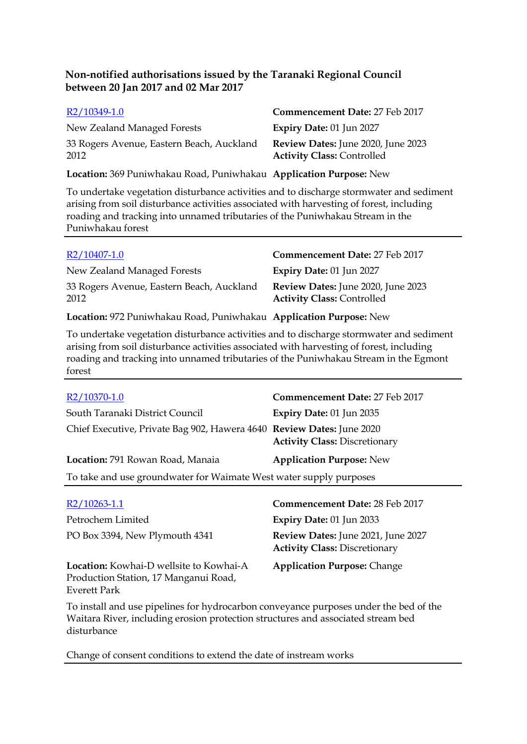| R2/10349-1.0                                                       | Commencement Date: 27 Feb 2017                                          |
|--------------------------------------------------------------------|-------------------------------------------------------------------------|
| New Zealand Managed Forests                                        | Expiry Date: 01 Jun 2027                                                |
| 33 Rogers Avenue, Eastern Beach, Auckland<br>2012                  | Review Dates: June 2020, June 2023<br><b>Activity Class: Controlled</b> |
| Location: 369 Puniwhakau Road, Puniwhakau Application Purpose: New |                                                                         |

To undertake vegetation disturbance activities and to discharge stormwater and sediment arising from soil disturbance activities associated with harvesting of forest, including roading and tracking into unnamed tributaries of the Puniwhakau Stream in the Puniwhakau forest

| $R2/10407-1.0$                                                     | Commencement Date: 27 Feb 2017                                          |
|--------------------------------------------------------------------|-------------------------------------------------------------------------|
| New Zealand Managed Forests                                        | Expiry Date: 01 Jun 2027                                                |
| 33 Rogers Avenue, Eastern Beach, Auckland<br>2012                  | Review Dates: June 2020, June 2023<br><b>Activity Class: Controlled</b> |
| Location: 972 Puniwhakau Road, Puniwhakau Application Purpose: New |                                                                         |

To undertake vegetation disturbance activities and to discharge stormwater and sediment arising from soil disturbance activities associated with harvesting of forest, including roading and tracking into unnamed tributaries of the Puniwhakau Stream in the Egmont forest

| R2/10370-1.0                                                          | Commencement Date: 27 Feb 2017       |
|-----------------------------------------------------------------------|--------------------------------------|
| South Taranaki District Council                                       | Expiry Date: 01 Jun 2035             |
| Chief Executive, Private Bag 902, Hawera 4640 Review Dates: June 2020 | <b>Activity Class: Discretionary</b> |
| Location: 791 Rowan Road, Manaia                                      | <b>Application Purpose: New</b>      |
| To take and use groundwater for Waimate West water supply purposes    |                                      |
| R2/1026311                                                            | Commoncement Date: 28 Ech 2017       |

| $R2/10263-1.1$                                                                                          | <b>Commencement Date: 28 Feb 2017</b>                                      |
|---------------------------------------------------------------------------------------------------------|----------------------------------------------------------------------------|
| Petrochem Limited                                                                                       | <b>Expiry Date: 01 Jun 2033</b>                                            |
| PO Box 3394, New Plymouth 4341                                                                          | Review Dates: June 2021, June 2027<br><b>Activity Class: Discretionary</b> |
| Location: Kowhai-D wellsite to Kowhai-A<br>Production Station, 17 Manganui Road,<br><b>Everett Park</b> | <b>Application Purpose: Change</b>                                         |

To install and use pipelines for hydrocarbon conveyance purposes under the bed of the Waitara River, including erosion protection structures and associated stream bed disturbance

Change of consent conditions to extend the date of instream works